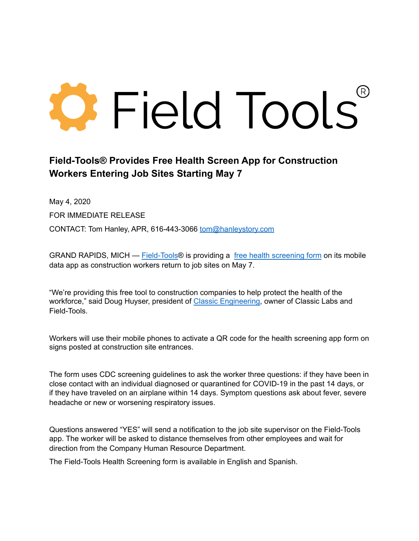## **O** Field Tools

## **Field-Tools® Provides Free Health Screen App for Construction Workers Entering Job Sites Starting May 7**

May 4, 2020 FOR IMMEDIATE RELEASE CONTACT: Tom Hanley, APR, 616-443-3066 [tom@hanleystory.com](mailto:tom@hanleystory.com)

GRAND RAPIDS, MICH — [Field-Tools](https://www.field-tools.com/)® is providing a [free health screening form](https://www.field-tools.com/safety.php) on its mobile data app as construction workers return to job sites on May 7.

"We're providing this free tool to construction companies to help protect the health of the workforce," said Doug Huyser, president of [Classic Engineering](https://www.classicengineering.com/), owner of Classic Labs and Field-Tools.

Workers will use their mobile phones to activate a QR code for the health screening app form on signs posted at construction site entrances.

The form uses CDC screening guidelines to ask the worker three questions: if they have been in close contact with an individual diagnosed or quarantined for COVID-19 in the past 14 days, or if they have traveled on an airplane within 14 days. Symptom questions ask about fever, severe headache or new or worsening respiratory issues.

Questions answered "YES" will send a notification to the job site supervisor on the Field-Tools app. The worker will be asked to distance themselves from other employees and wait for direction from the Company Human Resource Department.

The Field-Tools Health Screening form is available in English and Spanish.